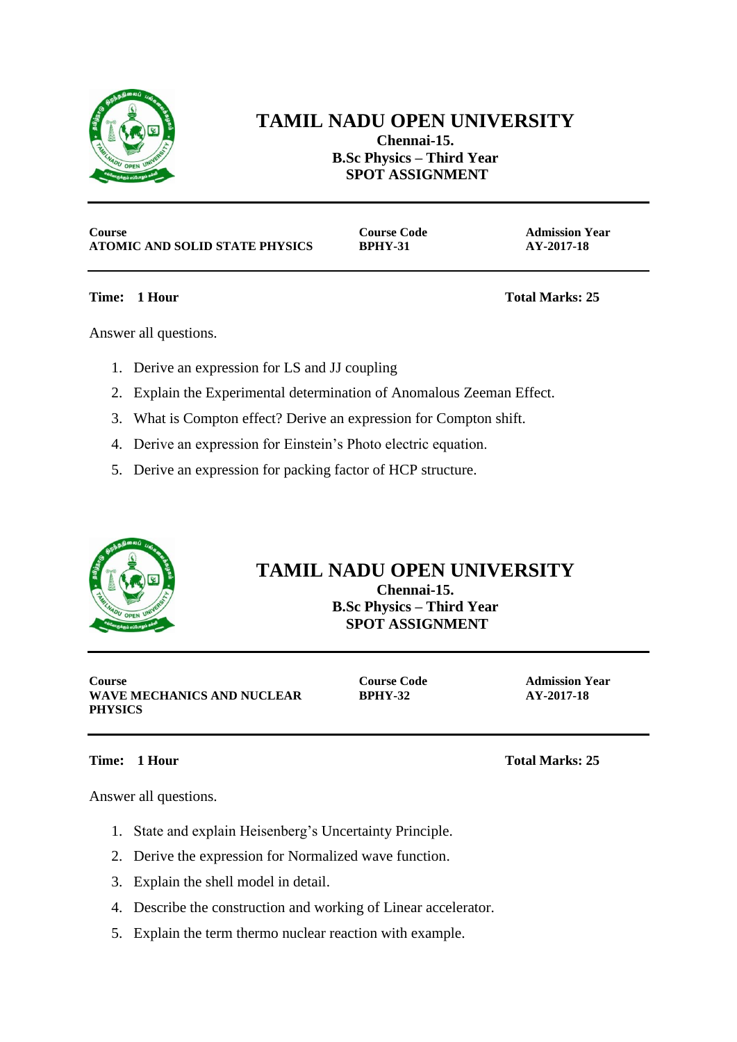

## **TAMIL NADU OPEN UNIVERSITY Chennai-15.**

**B.Sc Physics – Third Year SPOT ASSIGNMENT**

**Course Code 2.1 Admission Year Course Code 2.1 Admission Year ATOMIC AND SOLID STATE PHYSICS BPHY-31 AY-2017-18**

**Time: 1 Hour Total Marks: 25**

Answer all questions.

- 1. Derive an expression for LS and JJ coupling
- 2. Explain the Experimental determination of Anomalous Zeeman Effect.
- 3. What is Compton effect? Derive an expression for Compton shift.
- 4. Derive an expression for Einstein's Photo electric equation.
- 5. Derive an expression for packing factor of HCP structure.



## **TAMIL NADU OPEN UNIVERSITY**

**Chennai-15. B.Sc Physics – Third Year SPOT ASSIGNMENT**

**Course Course Code Admission Year WAVE MECHANICS AND NUCLEAR PHYSICS**

**BPHY-32 AY-2017-18**

Answer all questions.

- 1. State and explain Heisenberg's Uncertainty Principle.
- 2. Derive the expression for Normalized wave function.
- 3. Explain the shell model in detail.
- 4. Describe the construction and working of Linear accelerator.
- 5. Explain the term thermo nuclear reaction with example.

**Time: 1 Hour Total Marks: 25**